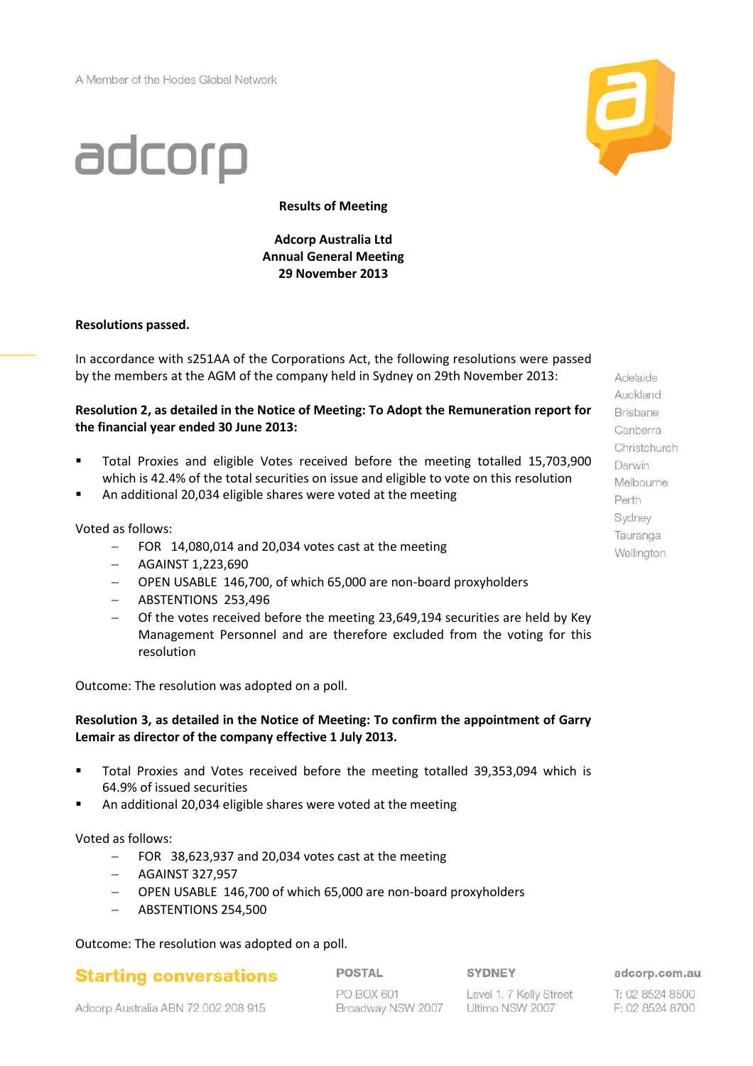

Adelaide Auckland Brisbane Canberra Christchurch Darwin Melbourne Perth Sydney Tauranga Wellington

# adcorp

**Results of Meeting**

## **Adcorp Australia Ltd Annual General Meeting 29 November 2013**

#### **Resolutions passed.**

In accordance with s251AA of the Corporations Act, the following resolutions were passed by the members at the AGM of the company held in Sydney on 29th November 2013:

## **Resolution 2, as detailed in the Notice of Meeting: To Adopt the Remuneration report for the financial year ended 30 June 2013:**

- Total Proxies and eligible Votes received before the meeting totalled 15,703,900 which is 42.4% of the total securities on issue and eligible to vote on this resolution
- An additional 20,034 eligible shares were voted at the meeting

Voted as follows:

- FOR 14,080,014 and 20,034 votes cast at the meeting
- $-$  AGAINST 1,223,690
- OPEN USABLE 146,700, of which 65,000 are non-board proxyholders
- ABSTENTIONS 253,496
- Of the votes received before the meeting 23,649,194 securities are held by Key Management Personnel and are therefore excluded from the voting for this resolution

Outcome: The resolution was adopted on a poll.

#### **Resolution 3, as detailed in the Notice of Meeting: To confirm the appointment of Garry Lemair as director of the company effective 1 July 2013.**

- Total Proxies and Votes received before the meeting totalled 39,353,094 which is 64.9% of issued securities
- An additional 20,034 eligible shares were voted at the meeting

#### Voted as follows:

- FOR 38,623,937 and 20,034 votes cast at the meeting
- AGAINST 327,957
- OPEN USABLE 146,700 of which 65,000 are non-board proxyholders
- ABSTENTIONS 254,500

Outcome: The resolution was adopted on a poll.

**Starting conversations** 

POSTAL

SYDNEY

Level 1, 7 Kelly Street

Ultimo NSW 2007

adcorp.com.au

T: 02 8524 8500 F: 02 8524 8700

Adcorp Australia ABN 72 002 208 915

PO BOX 601 Broadway NSW 2007